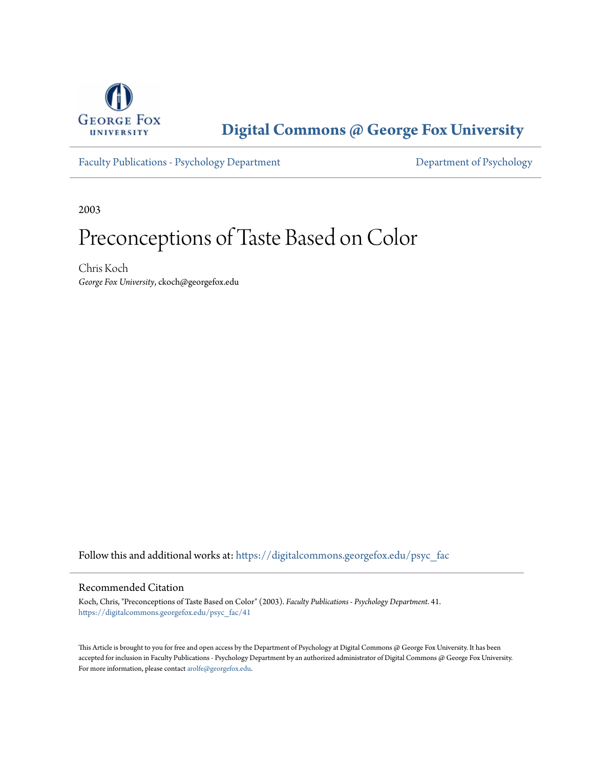

**[Digital Commons @ George Fox University](https://digitalcommons.georgefox.edu?utm_source=digitalcommons.georgefox.edu%2Fpsyc_fac%2F41&utm_medium=PDF&utm_campaign=PDFCoverPages)**

[Faculty Publications - Psychology Department](https://digitalcommons.georgefox.edu/psyc_fac?utm_source=digitalcommons.georgefox.edu%2Fpsyc_fac%2F41&utm_medium=PDF&utm_campaign=PDFCoverPages) Department [Department of Psychology](https://digitalcommons.georgefox.edu/psychology?utm_source=digitalcommons.georgefox.edu%2Fpsyc_fac%2F41&utm_medium=PDF&utm_campaign=PDFCoverPages)

2003

# Preconceptions of Taste Based on Color

Chris Koch *George Fox University*, ckoch@georgefox.edu

Follow this and additional works at: [https://digitalcommons.georgefox.edu/psyc\\_fac](https://digitalcommons.georgefox.edu/psyc_fac?utm_source=digitalcommons.georgefox.edu%2Fpsyc_fac%2F41&utm_medium=PDF&utm_campaign=PDFCoverPages)

# Recommended Citation

Koch, Chris, "Preconceptions of Taste Based on Color" (2003). *Faculty Publications - Psychology Department*. 41. [https://digitalcommons.georgefox.edu/psyc\\_fac/41](https://digitalcommons.georgefox.edu/psyc_fac/41?utm_source=digitalcommons.georgefox.edu%2Fpsyc_fac%2F41&utm_medium=PDF&utm_campaign=PDFCoverPages)

This Article is brought to you for free and open access by the Department of Psychology at Digital Commons @ George Fox University. It has been accepted for inclusion in Faculty Publications - Psychology Department by an authorized administrator of Digital Commons @ George Fox University. For more information, please contact [arolfe@georgefox.edu.](mailto:arolfe@georgefox.edu)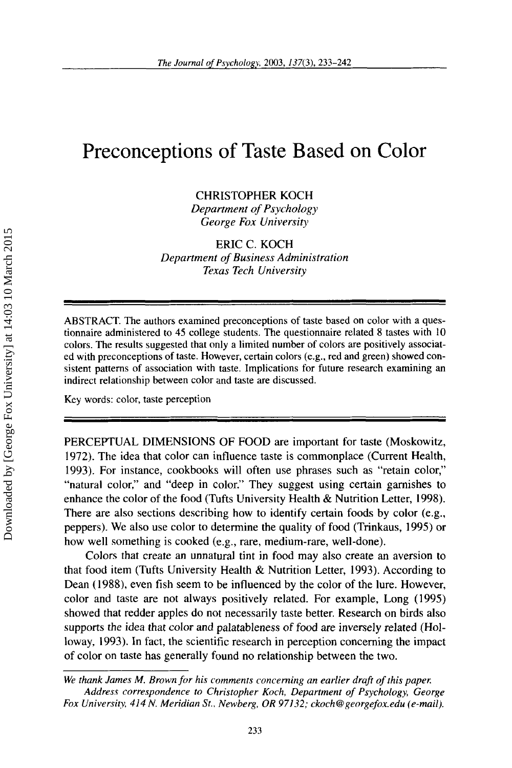# Preconceptions of Taste Based on Color

CHRISTOPHER KOCH

*Department* of *Psychology George Fox University* 

# ERIC C. KOCH *Department* of *Business Administration Texas Tech University*

**ABSTRACT. The authors examined preconceptions** of **taste based on color with a questionnaire administered to 45 college students. The questionnaire related 8 tastes with 10 colors. The results suggested that only a limited number** of **colors are positively associated with preconceptions** of **taste. However, certain colors (e.g., red and green) showed consistent patterns of association with taste. Implications for future research examining an indirect relationship between color and taste are discussed.** 

Key **words: color, taste perception** 

PERCEPTUAL DIMENSIONS OF FOOD are important for taste (Moskowitz, 1972). The idea that color can influence taste is commonplace (Current Health, 1993). For instance, cookbooks will often use phrases such as "retain color," "natural color," and "deep in color." They suggest using certain garnishes to enhance the color of the food (Tufts University Health & Nutrition Letter, 1998). There are also sections describing how to identify certain foods by color (e.g., peppers). We also use color to determine the quality of food (Trinkaus, 1995) or how well something is cooked (e.g., rare, medium-rare, well-done).

Colors that create an unnatural tint in food may also create an aversion to that food item (Tufts University Health & Nutrition Letter, 1993). According to Dean (1988), even fish seem to be influenced by the color of the lure. However, color and taste are not always positively related. For example, Long (1995) showed that redder apples do not necessarily taste better. Research on birds also supports the idea that color and palatableness of food are inversely related (Holloway, 1993). In fact, the scientific research in perception concerning the impact of color on taste has generally found no relationship between the two.

*We thank James M. Brown for his comments concerning an earlier drafi of this pape,: Address correspondence to Christopher Koch, Department of Psychology, George Fox University, 414 N. Meridian St., Newberg, OR 97132; ckoch@grorgefox.edu (e-mail).*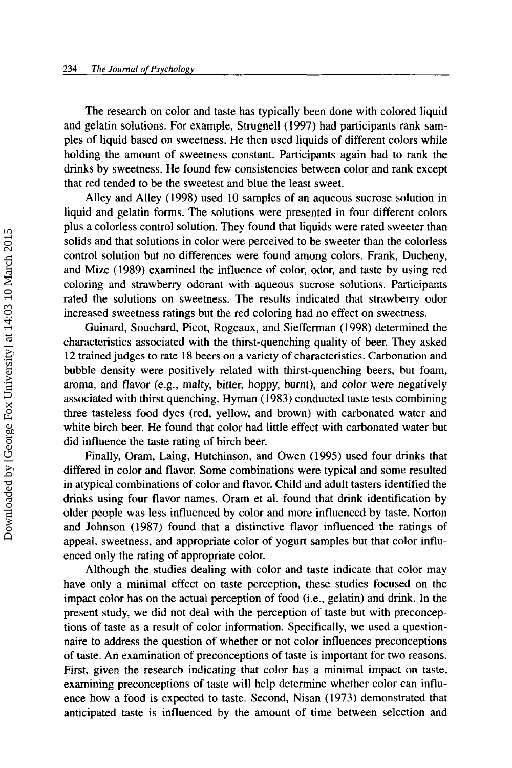The research on color and taste has typically been done with colored liquid and gelatin solutions. For example, Strugnell (1997) had participants rank samples of liquid based on sweetness. He then used liquids of different colors while holding the amount of sweetness constant. Participants again had to rank the drinks by sweetness. He found few consistencies between color and rank except that red tended to be the sweetest and blue the least sweet.

Alley and Alley (1998) used 10 samples of an aqueous sucrose solution in liquid and gelatin forms. The solutions were presented in four different colors plus a colorless control solution. They found that liquids were rated sweeter than solids and that solutions in color were perceived to be sweeter than the colorless control solution but no differences were found among colors. Frank, Ducheny, and Mize (1989) examined the influence of color, odor, and taste by using red coloring and strawberry odorant with aqueous sucrose solutions. Participants rated the solutions on sweetness. The results indicated that strawberry odor increased sweetness ratings but the red coloring had no effect on sweetness.

Guinard, Souchard, Picot, Rogeaux, and Siefferman (1998) determined the characteristics associated with the thirst-quenching quality of beer. They asked 12 trained judges to rate 18 beers on a variety of characteristics. Carbonation and bubble density were positively related with thirst-quenching beers, but foam, aroma, and flavor (e.g., malty, bitter, hoppy, burnt), and color were negatively associated with thirst quenching. Hyman (1983) conducted taste tests combining three tasteless food dyes (red, yellow, and brown) with carbonated water and white birch beer. He found that color had little effect with carbonated water but did influence the taste rating of birch beer.

Finally, Oram, Laing, Hutchinson, and Owen (1995) used four drinks that differed in color and flavor. Some combinations were typical and some resulted in atypical combinations of color and flavor. Child and adult tasters identified the drinks using four flavor names. Oram et al. found that drink identification by older people was less influenced by color and more influenced by taste. Norton and Johnson (1987) found that a distinctive flavor influenced the ratings of appeal, sweetness, and appropriate color of yogurt samples but that color influenced only the rating of appropriate color.

Although the studies dealing with color and taste indicate that color may have only a minimal effect on taste perception, these studies focused on the impact color has on the actual perception of food (i.e., gelatin) and drink. In the present study, we did not deal with the perception of taste but with preconceptions of taste as a result of color information. Specifically, we used a questionnaire to address the question of whether or not color influences preconceptions of taste. An examination of preconceptions of taste is important for two reasons. First, given the research indicating that color has a minimal impact on taste, examining preconceptions of taste will help determine whether color can influence how a food is expected to taste. Second, Nisan (1973) demonstrated that anticipated taste is influenced by the amount of time between selection and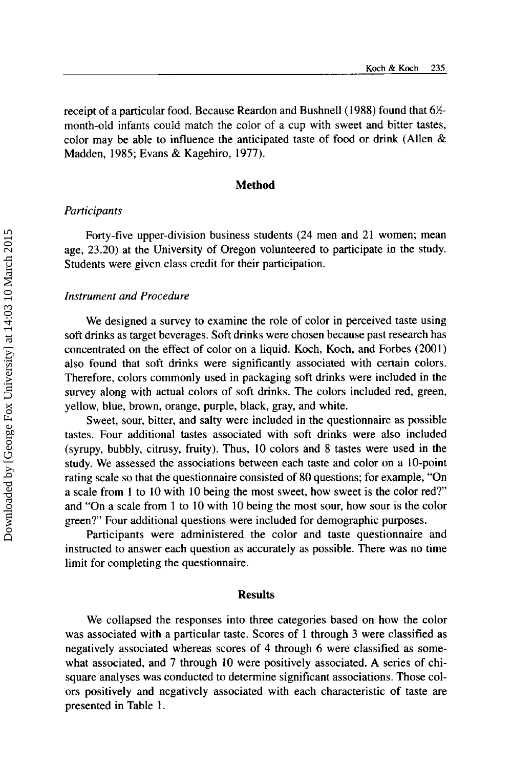receipt of a particular food. Because Reardon and Bushnell (1988) found that  $6\frac{1}{2}$ month-old infants could match the color of a cup with sweet and bitter tastes, color may be able to influence the anticipated taste of food or drink (Allen  $\&$ Madden, 1985; Evans & Kagehiro, 1977).

#### **Method**

## *Participants*

Forty-five upper-division business students (24 men and 21 women; mean age, 23.20) at the University of Oregon volunteered to participate in the study. Students were given class credit for their participation.

#### *Instrument and Procedure*

We designed a survey to examine the role of color in perceived taste using soft drinks as target beverages. Soft drinks were chosen because past research has concentrated on the effect of color on a liquid. Koch, Koch, and Forbes (2001) also found that soft drinks were significantly associated with certain colors. Therefore, colors commonly used in packaging soft drinks were included in the survey along with actual colors of soft drinks. The colors included red, green, yellow, blue, brown, orange, purple, black, gray, and white.

Sweet, sour, bitter, and salty were included in the questionnaire as possible tastes. Four additional tastes associated with soft drinks were also included (syrupy, bubbly, citrusy, fruity). Thus, 10 colors and 8 tastes were used in the study. We assessed the associations between each taste and color on a 10-point rating scale so that the questionnaire consisted of 80 questions; for example, "On a scale from 1 to 10 with 10 being the most sweet, how sweet is the color red?' and "On a scale from 1 to 10 with 10 being the most sour, how sour is the color green?' Four additional questions were included for demographic purposes.

Participants were administered the color and taste questionnaire and instructed to answer each question as accurately as possible. There was no time limit for completing the questionnaire.

#### **Results**

We collapsed the responses into three categories based on how the color was associated with a particular taste. Scores of 1 through 3 were classified as negatively associated whereas scores of **4** through 6 were classified as somewhat associated, and 7 through 10 were positively associated. **A** series of chisquare analyses was conducted to determine significant associations. Those colors positively and negatively associated with each characteristic of taste are presented in Table 1.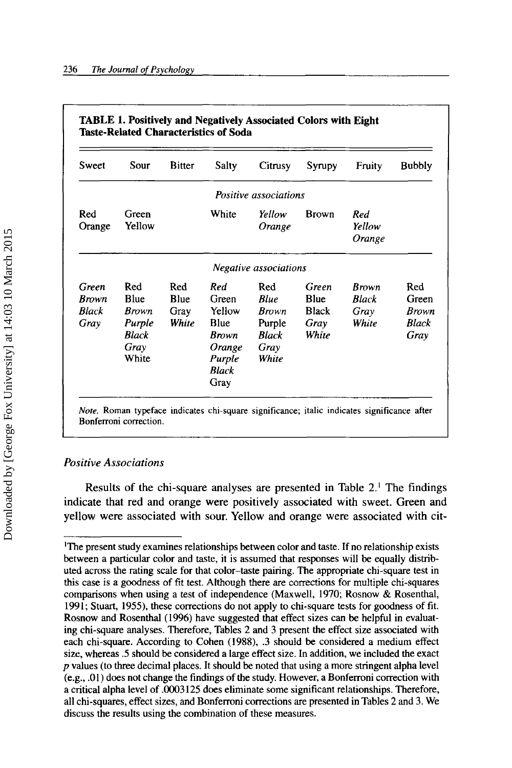| Sweet                                  | Sour                                                                   | <b>Bitter</b>                       | <b>Salty</b>                                                                        | Citrusy                                                                       | Syrupy                                                | Fruity                                 | <b>Bubbly</b>                          |
|----------------------------------------|------------------------------------------------------------------------|-------------------------------------|-------------------------------------------------------------------------------------|-------------------------------------------------------------------------------|-------------------------------------------------------|----------------------------------------|----------------------------------------|
|                                        |                                                                        |                                     |                                                                                     | Positive associations                                                         |                                                       |                                        |                                        |
| Red<br>Orange                          | Green<br>Yellow                                                        |                                     | White                                                                               | Yellow<br>Orange                                                              | <b>Brown</b>                                          | Red<br>Yellow<br>Orange                |                                        |
|                                        |                                                                        |                                     |                                                                                     | Negative associations                                                         |                                                       |                                        |                                        |
| Green<br><b>Brown</b><br>Black<br>Gray | Red<br><b>Blue</b><br><b>Brown</b><br>Purple<br>Black<br>Gray<br>White | Red<br><b>Blue</b><br>Gray<br>White | Red<br>Green<br>Yellow<br>Blue<br><b>Brown</b><br>Orange<br>Purple<br>Black<br>Gray | Red<br><b>Blue</b><br><b>Brown</b><br>Purple<br><b>Black</b><br>Gray<br>White | Green<br><b>Blue</b><br><b>Black</b><br>Gray<br>White | Brown<br><b>Black</b><br>Grav<br>White | Red<br>Green<br>Brown<br>Black<br>Gray |

# *Positive Associations*

Results of the chi-square analyses are presented in Table *2.'* The findings indicate that red and orange were positively associated with sweet. Green and yellow were associated with sour. Yellow and orange were associated with cit-

IThe present study examines relationships between color and taste. If no relationship exists between a particular color and taste, it is assumed that responses will be equally distributed across the rating scale for that color-taste pairing. The appropriate chi-square test in this case is a goodness of fit test. Although there are corrections for multiple chi-squares comparisons when using a test of independence (Maxwell, 1970; Rosnow & Rosenthal, 1991; Stuart, 1955), these corrections do not apply to chi-square tests for goodness of fit. Rosnow and Rosenthal (1996) have suggested that effect sizes can be helpful in evaluating chi-square analyses. Therefore, Tables 2 and 3 present the effect size associated with each chi-square. According to Cohen (1988), .3 should be considered a medium effect size, whereas *.5* should be considered a large effect size. In addition, we included the exact *p* values (to three decimal places. It should be noted that using a more stringent alpha level (e.g., .01) does not change the findings of the study. However, a Bonferroni correction with a critical alpha level of .0003125 does eliminate some significant relationships. Therefore, all chi-squares, effect sizes, and Bonferroni corrections are presented in Tables 2 and 3. We discuss the results using the combination of these measures.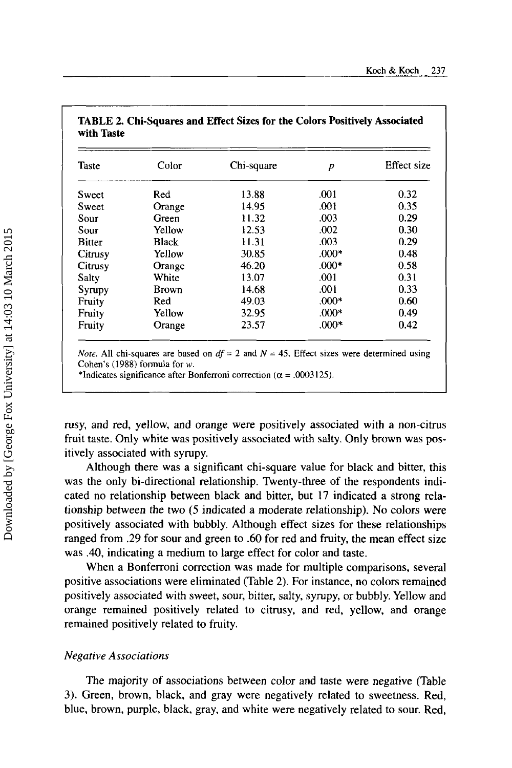| <b>Taste</b>  | Color        | Chi-square | р       | Effect size |
|---------------|--------------|------------|---------|-------------|
| Sweet         | Red          | 13.88      | .001    | 0.32        |
| Sweet         | Orange       | 14.95      | .001    | 0.35        |
| Sour          | Green        | 11.32      | .003    | 0.29        |
| Sour          | Yellow       | 12.53      | .002    | 0.30        |
| <b>Bitter</b> | <b>Black</b> | 11.31      | .003    | 0.29        |
| Citrusy       | Yellow       | 30.85      | $.000*$ | 0.48        |
| Citrusy       | Orange       | 46.20      | $.000*$ | 0.58        |
| Salty         | White        | 13.07      | .001    | 0.31        |
| Syrupy        | Brown        | 14.68      | .001    | 0.33        |
| Fruity        | Red          | 49.03      | $.000*$ | 0.60        |
| Fruity        | Yellow       | 32.95      | $.000*$ | 0.49        |
| Fruity        | Orange       | 23.57      | $.000*$ | 0.42        |

**TABLE 2. Chi-squares and Effect Sizes for the Colors Positively Associated with Taste** 

\*Indicates significance after Bonferroni correction  $(\alpha = .0003125)$ .

rusy, and red, yellow, and orange were positively associated with a non-citrus fruit taste. Only white was positively associated with salty. Only brown was **pos**itively associated with syrupy.

Although there was a significant chi-square value for black and bitter, this was the only bi-directional relationship. Twenty-three of the respondents indicated no relationship between black and bitter, but 17 indicated a strong relationship between the two *(5* indicated a moderate relationship). No colors were positively associated with bubbly. Although effect sizes for these relationships ranged from .29 for sour and green to .60 for red and fruity, the mean effect size was **.40,** indicating a medium to large effect for color and taste.

When a Bonferroni correction was made **for** multiple comparisons, several positive associations were eliminated (Table 2). For instance, no colors remained positively associated with sweet, sour, bitter, salty, syrupy, or bubbly. Yellow and orange remained positively related to citrusy, and red, yellow, and orange remained positively related to fruity.

## *Negative Associations*

~ ~~

The majority of associations between color and taste were negative (Table 3). Green, brown, black, and gray were negatively related to sweetness. Red, blue, brown, purple, black, gray, and white were negatively related to sour. Red,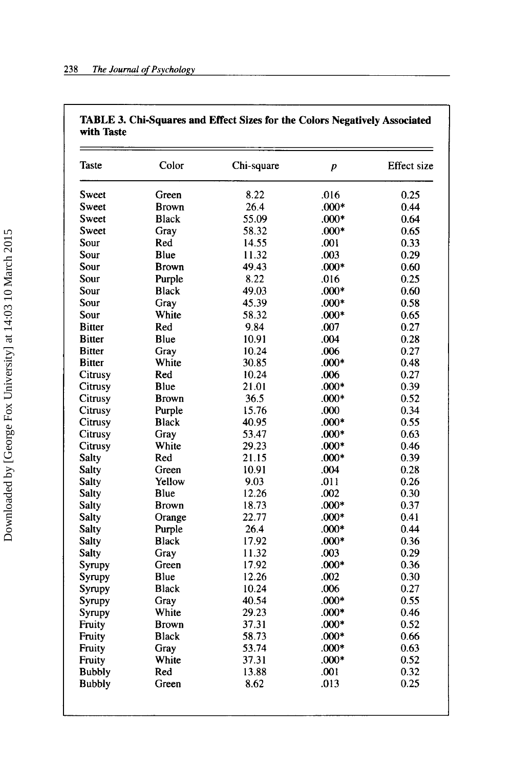| Taste         | Color        | Chi-square | $\boldsymbol{p}$ | <b>Effect</b> size |
|---------------|--------------|------------|------------------|--------------------|
| Sweet         | Green        | 8.22       | .016             | 0.25               |
| Sweet         | <b>Brown</b> | 26.4       | $.000*$          | 0.44               |
| Sweet         | <b>Black</b> | 55.09      | $.000*$          | 0.64               |
| Sweet         | Gray         | 58.32      | $.000*$          | 0.65               |
| Sour          | Red          | 14.55      | .001             | 0.33               |
| Sour          | Blue         | 11.32      | .003             | 0.29               |
| Sour          | <b>Brown</b> | 49.43      | $.000*$          | 0.60               |
| Sour          | Purple       | 8.22       | .016             | 0.25               |
| Sour          | <b>Black</b> | 49.03      | $.000*$          | 0.60               |
| Sour          | Gray         | 45.39      | $.000*$          | 0.58               |
| Sour          | White        | 58.32      | $.000*$          | 0.65               |
| <b>Bitter</b> | Red          | 9.84       | .007             | 0.27               |
| <b>Bitter</b> | Blue         | 10.91      | .004             | 0.28               |
| <b>Bitter</b> | Gray         | 10.24      | .006             | 0.27               |
| <b>Bitter</b> | White        | 30.85      | $.000*$          | 0.48               |
| Citrusy       | Red          | 10.24      | .006             | 0.27               |
| Citrusy       | Blue         | 21.01      | $.000*$          | 0.39               |
| Citrusy       | <b>Brown</b> | 36.5       | $.000*$          | 0.52               |
| Citrusy       | Purple       | 15.76      | .000             | 0.34               |
| Citrusy       | <b>Black</b> | 40.95      | $.000*$          | 0.55               |
| Citrusy       | Gray         | 53.47      | $.000*$          | 0.63               |
| Citrusy       | White        | 29.23      | $.000*$          | 0.46               |
| Salty         | Red          | 21.15      | $.000*$          | 0.39               |
| <b>Salty</b>  | Green        | 10.91      | .004             | 0.28               |
| Salty         | Yellow       | 9.03       | .011             | 0.26               |
| <b>Salty</b>  | Blue         | 12.26      | .002             | 0.30               |
| <b>Salty</b>  | <b>Brown</b> | 18.73      | $.000*$          | 0.37               |
| Salty         | Orange       | 22.77      | $.000*$          | 0.41               |
| <b>Salty</b>  | Purple       | 26.4       | $.000*$          | 0.44               |
| <b>Salty</b>  | <b>Black</b> | 17.92      | $.000*$          | 0.36               |
| Salty         | Gray         | 11.32      | .003             | 0.29               |
| Syrupy        | Green        | 17.92      | $.000*$          | 0.36               |
| Syrupy        | Blue         | 12.26      | .002             | 0.30               |
| Syrupy        | <b>Black</b> | 10.24      | .006             | 0.27               |
| Syrupy        | Gray         | 40.54      | $.000*$          | 0.55               |
| Syrupy        | White        | 29.23      | $.000*$          | 0.46               |
| Fruity        | <b>Brown</b> | 37.31      | $.000*$          | 0.52               |
| Fruity        | <b>Black</b> | 58.73      | $.000*$          | 0.66               |
| Fruity        | Gray         | 53.74      | $.000*$          | 0.63               |
| Fruity        | White        | 37.31      | $.000*$          | 0.52               |
| <b>Bubbly</b> | Red          | 13.88      | .001             | 0.32               |
|               |              | 8.62       | .013             | 0.25               |

#### **TABLE 3. Chi-squares and Effect Sizes for the Colors Negatively Associated with Taste**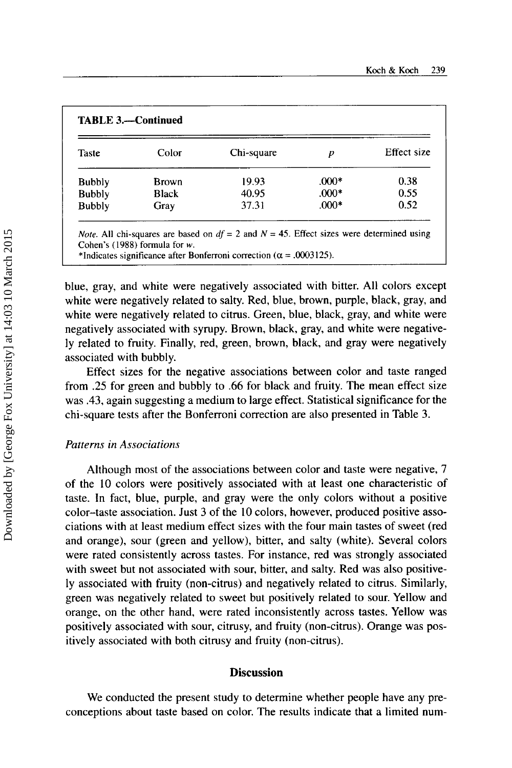| <b>Taste</b>  | Color        | Chi-square | $\boldsymbol{p}$ | Effect size |
|---------------|--------------|------------|------------------|-------------|
| <b>Bubbly</b> | <b>Brown</b> | 19.93      | $.000*$          | 0.38        |
| <b>Bubbly</b> | <b>Black</b> | 40.95      | $.000*$          | 0.55        |
| <b>Bubbly</b> | Gray         | 37.31      | $.000*$          | 0.52        |

blue, gray, and white were negatively associated with bitter. All colors except white were negatively related to salty. Red, blue, brown, purple, black, gray, and white were negatively related to citrus. Green, blue, black, gray, and white were negatively associated with syrupy. Brown, black, gray, and white were negatively related to fruity. Finally, red, green, brown, black, and gray were negatively associated with bubbly.

Effect sizes for the negative associations between color and taste ranged from *.25* for green and bubbly to .66 for black and fruity. The mean effect size was **.43,** again suggesting a medium to large effect. Statistical significance for the chi-square tests after the Bonfenoni correction are also presented in Table 3.

#### *Patterns in Associatioris*

Although most of the associations between color and taste were negative, 7 of the 10 colors were positively associated with at least one characteristic of taste. In fact, blue, purple, and gray were the only colors without a positive color-taste association. Just 3 of the 10 colors, however, produced positive associations with at least medium effect sizes with the four main tastes of sweet (red and orange), sour (green and yellow), bitter, and salty (white). Several colors were rated consistently across tastes. For instance, red was strongly associated with sweet but not associated with sour, bitter, and salty. Red was also positively associated with fruity (non-citrus) and negatively related to citrus. Similarly, green was negatively related to sweet but positively related to sour. Yellow and orange, on the other hand, were rated inconsistently across tastes. Yellow was positively associated with sour, citrusy, and fruity (non-citrus). Orange was positively associated with both citrusy and fruity (non-citrus).

#### **Discussion**

We conducted the present study to determine whether people have any preconceptions about taste based on color. The results indicate that a limited num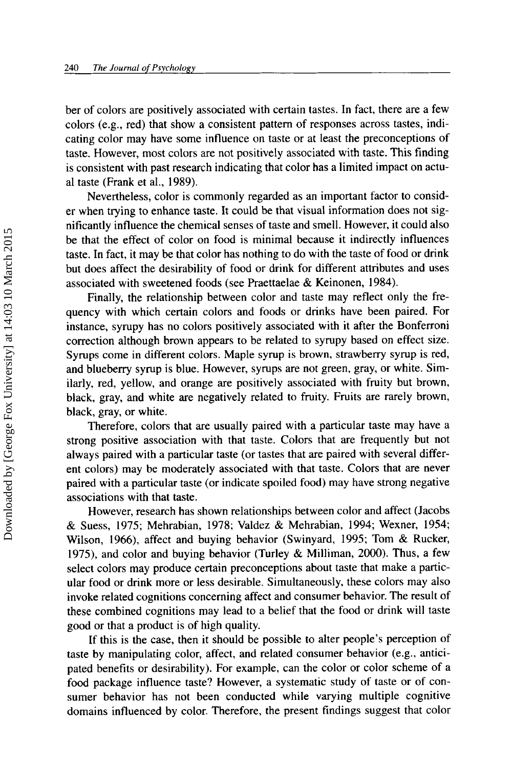ber of colors are positively associated with certain tastes. In fact, there are a few colors (e.g., red) that show a consistent pattern of responses across tastes, indicating color may have some influence on taste or at least the preconceptions of taste. However, most colors are not positively associated with taste. This finding is consistent with past research indicating that color has a limited impact on actual taste (Frank et al., 1989).

Nevertheless, color is commonly regarded as an important factor to consider when trying to enhance taste. It could be that visual information does not significantly influence the chemical senses of taste and smell. However, it could also be that the effect of color on food is minimal because it indirectly influences taste. In fact, it may be that color has nothing to do with the taste of food **or** drink but does affect the desirability of food or drink for different attributes and uses associated with sweetened foods (see Praettaelae & Keinonen, 1984).

Finally, the relationship between color and taste may reflect only the frequency with which certain colors and foods or drinks have been paired. For instance, syrupy has no colors positively associated with it after the Bonferroni correction although brown appears to be related to syrupy based on effect size. Syrups come in different colors. Maple syrup is brown, strawberry syrup is red, and blueberry syrup is blue. However, syrups are not green, gray, or white. Similarly, red, yellow, and orange are positively associated with fruity but brown, black, gray, and white are negatively related to fruity. Fruits are rarely brown, black, gray, or white.

Therefore, colors that are usually paired with a particular taste may have a strong positive association with that taste. Colors that are frequently but not always paired with a particular taste (or tastes that are paired with several different colors) may be moderately associated with that taste. Colors that are never paired with a particular taste (or indicate spoiled food) may have strong negative associations with that taste.

However, research has shown relationships between color and affect (Jacobs & Suess, 1975; Mehrabian, 1978; Valdez & Mehrabian, 1994; Wexner, 1954; Wilson, 1966), affect and buying behavior (Swinyard, 1995; Tom & Rucker, 1975), and color and buying behavior (Turley & Milliman, 2000). Thus, a few select colors may produce certain preconceptions about taste that make a particular food or drink more or less desirable. Simultaneously, these colors may also invoke related cognitions concerning affect and consumer behavior. The result of these combined cognitions may lead to a belief that the food or drink will taste good or that a product is **of** high quality.

**If** this is the case, then it should be possible to alter people's perception of taste by manipulating color, affect, and related consumer behavior (e.g., anticipated benefits **or** desirability). For example, can the color or color scheme of a food package influence taste? However, a systematic study of taste **or** of consumer behavior has not been conducted while varying multiple cognitive domains influenced by color. Therefore, the present findings suggest that color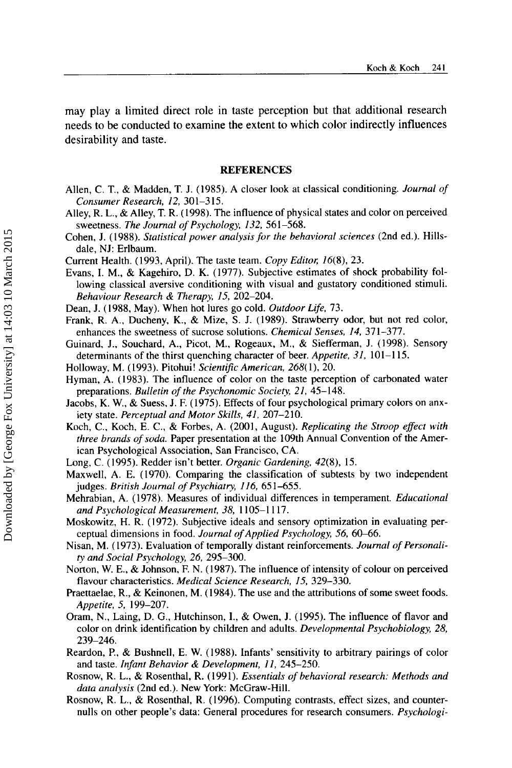may play a limited direct role in taste perception but that additional research needs to be conducted to examine the extent to which color indirectly influences desirability and taste.

#### **REFERENCES**

- Allen, C. T., & Madden, T. J. (1985). A closer look at classical conditioning. *Journal of Consumer Research, 12,* 301-315.
- Alley, R. L., &Alley, T. R. (1998). The influence of physical states and color on perceived sweetness. *The Journal of Psychology, 132,* 561-568.
- Cohen, J. (1988). *Statistical power analysisfor the behavioral sciences* (2nd ed.). Hillsdale, NJ: Erlbaum.
- Current Health. (1993, April). The taste team. *Copy Editor; 16(8),* 23.
- Evans, I. M., & Kagehiro, D. K. (1977). Subjective estimates of shock probability following classical aversive conditioning with visual and gustatory conditioned stimuli. *Behaviour Research* & *Therapy, 15,* 202-204.
- Dean, J. (1988, May). When hot lures go cold. *Outdoor Life,* 73.
- Frank, R. **A.,** Ducheny, K., & Mize, S. J. (1989). Strawbemy odor, but not red color, enhances the sweetness of sucrose solutions. *Chemical Senses, 14,* 371-377.
- Guinard, J., Souchard, A., Picot, M., Rogeaux, M., & Siefferman, J. **(1** 998). Sensory determinants of the thirst quenching character of beer. *Appetite*, 31, 101-115.
- Holloway, M. (1993). Pitohui! *ScientiJic American, 268(* **I),** 20.
- Hyman, **A.** (1983). The influence of color on the taste perception of carbonated water preparations. *Bulletin of the Psychonomic Society, 21,* 45-148.
- Jacobs, K. W., & Suess, J. F. (1975). Effects of four psychological primary colors on anxiety state. *Perceptual and Motor Skills, 41.* 207-210.
- Koch, C., Koch, E. C., & Forbes, A. (2001, August). *Replicating the Stroop effect with three brands of soda.* Paper presentation at the 109th Annual Convention of the American Psychological Association, San Francisco, CA.
- Long, C. (1995). Redder isn't better. *Organic Gardening, 42(8),* 15.
- Maxwell, A. E. (1970). Comparing the classification of subtests by two independent judges. *British Journal of Psychiatry, 116,* 651-655.
- Mehrabian, A. (1978). Measures of individual differences in temperament. *Educational and Psychological Measurement, 38,* 1105-1 117.
- Moskowitz, H. R. (1972). Subjective ideals and sensory optimization in evaluating perceptual dimensions in food. *Journal of Applied Psychology, 56, 60–66.*
- Nisan, M. ( 1973). Evaluation of temporally distant reinforcements. *Journal* of *Personality and Social Psychology, 26,* 295-300.
- Norton, W. E., & Johnson, F. N. (1987). The influence of intensity of colour on perceived flavour characteristics. *Medical Science Research, 15,* 329-330.
- Praettaelae, R., & Keinonen, M. (1984). The use and the attributions of some sweet foods. *Appetite, 5,* 199-207.
- Oram, N., Laing, D. G., Hutchinson, I., & Owen, J. (1995). The influence of flavor and color on drink identification by children and adults. *Developmental Psychobiology, 28,*  239-246.
- Reardon, P., & Bushnell, E. W. (1988). Infants' sensitivity to arbitrary pairings of color and taste. *Infant Behavior* & *Development, I I,* 245-250.
- Rosnow, R. L., & Rosenthal, R. (1991). *Essentials of behavioral research: Methods and data analysis* (2nd ed.). New York: McGraw-Hill.
- Rosnow, R. L., & Rosenthal, R. (1996). Computing contrasts, effect sizes, and counternulls on other people's data: General procedures for research consumers. *Psychologi-*